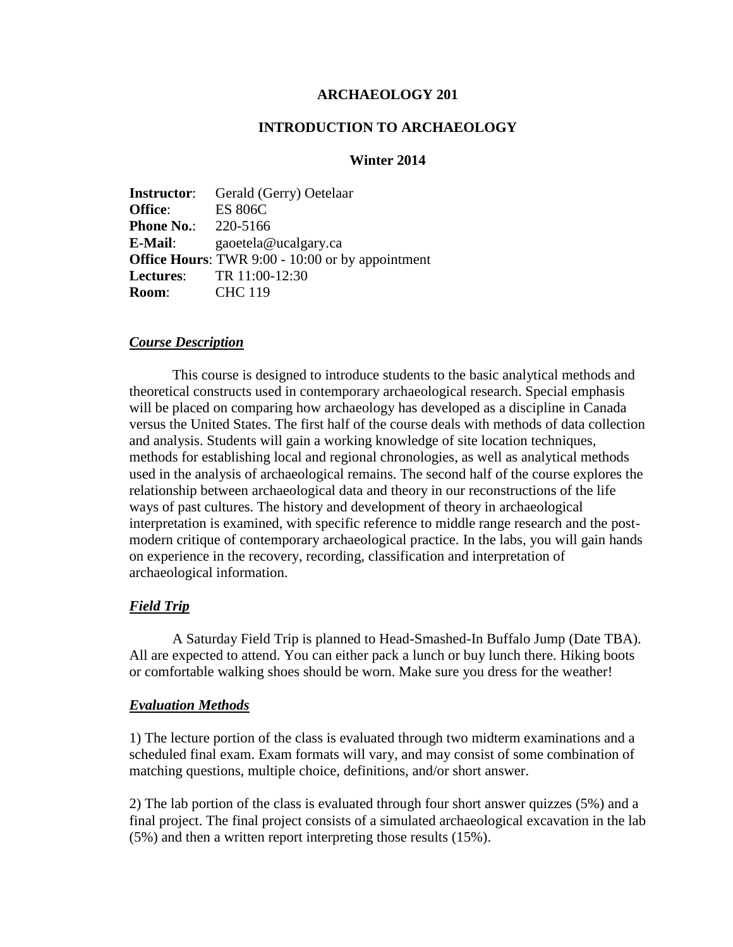## **ARCHAEOLOGY 201**

## **INTRODUCTION TO ARCHAEOLOGY**

# **Winter 2014**

**Instructor**: Gerald (Gerry) Oetelaar **Office**: ES 806C **Phone No.:** 220-5166 **E-Mail**: gaoetela@ucalgary.ca **Office Hours**: TWR 9:00 - 10:00 or by appointment **Lectures**: TR 11:00-12:30 **Room**: CHC 119

### *Course Description*

This course is designed to introduce students to the basic analytical methods and theoretical constructs used in contemporary archaeological research. Special emphasis will be placed on comparing how archaeology has developed as a discipline in Canada versus the United States. The first half of the course deals with methods of data collection and analysis. Students will gain a working knowledge of site location techniques, methods for establishing local and regional chronologies, as well as analytical methods used in the analysis of archaeological remains. The second half of the course explores the relationship between archaeological data and theory in our reconstructions of the life ways of past cultures. The history and development of theory in archaeological interpretation is examined, with specific reference to middle range research and the postmodern critique of contemporary archaeological practice. In the labs, you will gain hands on experience in the recovery, recording, classification and interpretation of archaeological information.

## *Field Trip*

A Saturday Field Trip is planned to Head-Smashed-In Buffalo Jump (Date TBA). All are expected to attend. You can either pack a lunch or buy lunch there. Hiking boots or comfortable walking shoes should be worn. Make sure you dress for the weather!

### *Evaluation Methods*

1) The lecture portion of the class is evaluated through two midterm examinations and a scheduled final exam. Exam formats will vary, and may consist of some combination of matching questions, multiple choice, definitions, and/or short answer.

2) The lab portion of the class is evaluated through four short answer quizzes (5%) and a final project. The final project consists of a simulated archaeological excavation in the lab (5%) and then a written report interpreting those results (15%).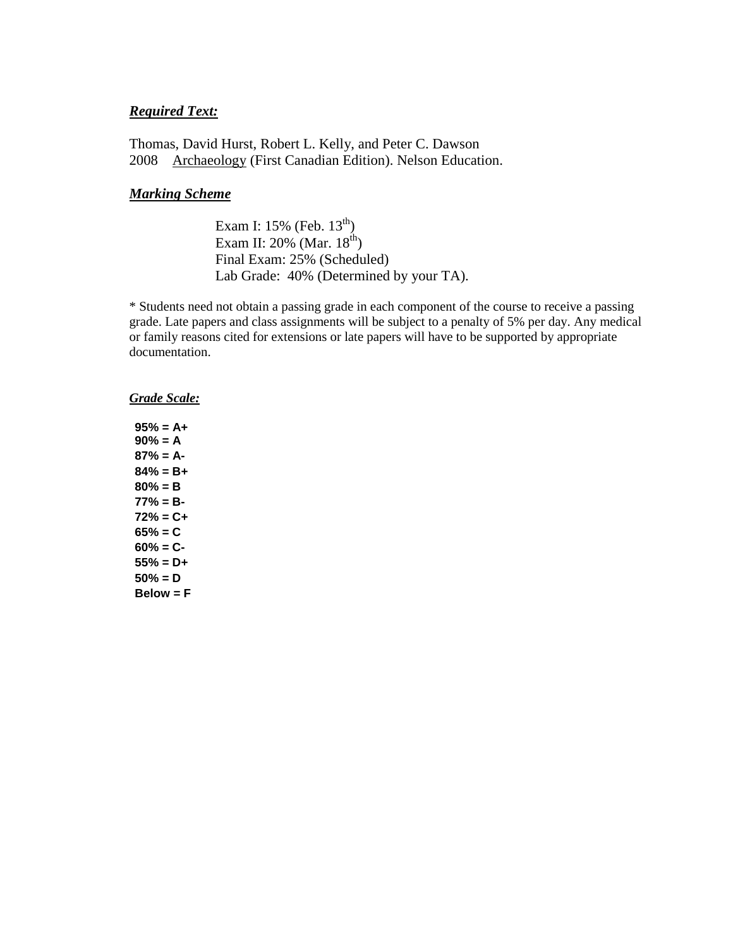## *Required Text:*

Thomas, David Hurst, Robert L. Kelly, and Peter C. Dawson 2008 Archaeology (First Canadian Edition). Nelson Education.

## *Marking Scheme*

Exam I: 15% (Feb. 13<sup>th</sup>) Exam II: 20% (Mar. 18<sup>th</sup>) Final Exam: 25% (Scheduled) Lab Grade: 40% (Determined by your TA).

\* Students need not obtain a passing grade in each component of the course to receive a passing grade. Late papers and class assignments will be subject to a penalty of 5% per day. Any medical or family reasons cited for extensions or late papers will have to be supported by appropriate documentation.

#### *Grade Scale:*

**95% = A+ 90% = A 87% = A-84% = B+ 80% = B 77% = B-72% = C+ 65% = C 60% = C-55% = D+ 50% = D Below = F**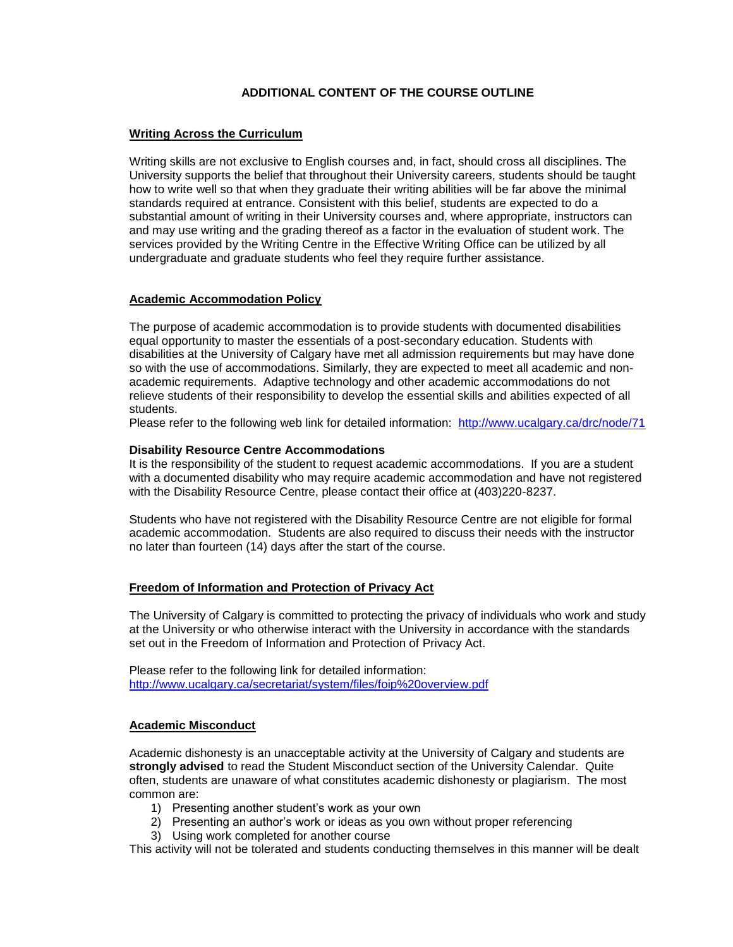### **ADDITIONAL CONTENT OF THE COURSE OUTLINE**

#### **Writing Across the Curriculum**

Writing skills are not exclusive to English courses and, in fact, should cross all disciplines. The University supports the belief that throughout their University careers, students should be taught how to write well so that when they graduate their writing abilities will be far above the minimal standards required at entrance. Consistent with this belief, students are expected to do a substantial amount of writing in their University courses and, where appropriate, instructors can and may use writing and the grading thereof as a factor in the evaluation of student work. The services provided by the Writing Centre in the Effective Writing Office can be utilized by all undergraduate and graduate students who feel they require further assistance.

### **Academic Accommodation Policy**

The purpose of academic accommodation is to provide students with documented disabilities equal opportunity to master the essentials of a post-secondary education. Students with disabilities at the University of Calgary have met all admission requirements but may have done so with the use of accommodations. Similarly, they are expected to meet all academic and nonacademic requirements. Adaptive technology and other academic accommodations do not relieve students of their responsibility to develop the essential skills and abilities expected of all students.

Please refer to the following web link for detailed information: <http://www.ucalgary.ca/drc/node/71>

#### **Disability Resource Centre Accommodations**

It is the responsibility of the student to request academic accommodations. If you are a student with a documented disability who may require academic accommodation and have not registered with the Disability Resource Centre, please contact their office at (403)220-8237.

Students who have not registered with the Disability Resource Centre are not eligible for formal academic accommodation. Students are also required to discuss their needs with the instructor no later than fourteen (14) days after the start of the course.

#### **Freedom of Information and Protection of Privacy Act**

The University of Calgary is committed to protecting the privacy of individuals who work and study at the University or who otherwise interact with the University in accordance with the standards set out in the Freedom of Information and Protection of Privacy Act.

Please refer to the following link for detailed information: <http://www.ucalgary.ca/secretariat/system/files/foip%20overview.pdf>

#### **Academic Misconduct**

Academic dishonesty is an unacceptable activity at the University of Calgary and students are **strongly advised** to read the Student Misconduct section of the University Calendar. Quite often, students are unaware of what constitutes academic dishonesty or plagiarism. The most common are:

- 1) Presenting another student's work as your own
- 2) Presenting an author's work or ideas as you own without proper referencing
- 3) Using work completed for another course

This activity will not be tolerated and students conducting themselves in this manner will be dealt